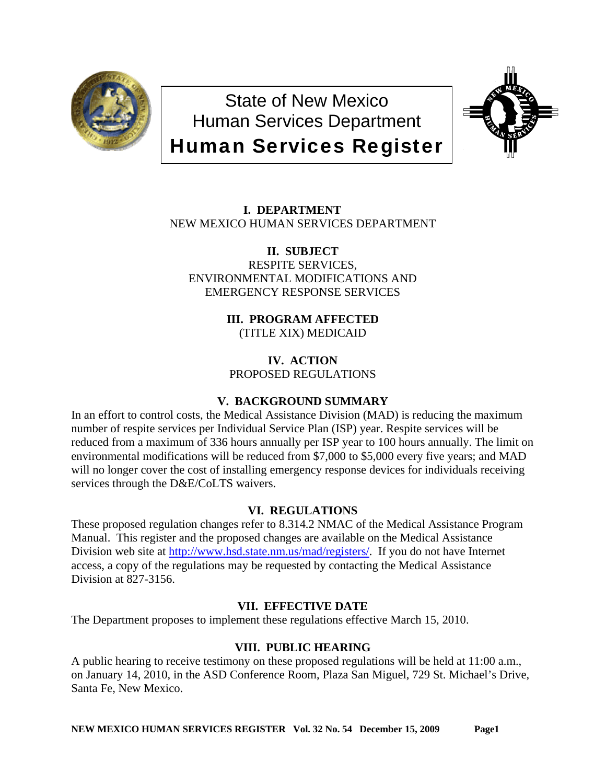

State of New Mexico Human Services Department Human Services Register



### **I. DEPARTMENT** NEW MEXICO HUMAN SERVICES DEPARTMENT

**II. SUBJECT**  RESPITE SERVICES, ENVIRONMENTAL MODIFICATIONS AND EMERGENCY RESPONSE SERVICES

> **III. PROGRAM AFFECTED** (TITLE XIX) MEDICAID

**IV. ACTION** PROPOSED REGULATIONS

# **V. BACKGROUND SUMMARY**

In an effort to control costs, the Medical Assistance Division (MAD) is reducing the maximum number of respite services per Individual Service Plan (ISP) year. Respite services will be reduced from a maximum of 336 hours annually per ISP year to 100 hours annually. The limit on environmental modifications will be reduced from \$7,000 to \$5,000 every five years; and MAD will no longer cover the cost of installing emergency response devices for individuals receiving services through the D&E/CoLTS waivers.

#### **VI. REGULATIONS**

These proposed regulation changes refer to 8.314.2 NMAC of the Medical Assistance Program Manual. This register and the proposed changes are available on the Medical Assistance Division web site at <http://www.hsd.state.nm.us/mad/registers/>. If you do not have Internet access, a copy of the regulations may be requested by contacting the Medical Assistance Division at 827-3156.

# **VII. EFFECTIVE DATE**

The Department proposes to implement these regulations effective March 15, 2010.

# **VIII. PUBLIC HEARING**

A public hearing to receive testimony on these proposed regulations will be held at 11:00 a.m., on January 14, 2010, in the ASD Conference Room, Plaza San Miguel, 729 St. Michael's Drive, Santa Fe, New Mexico.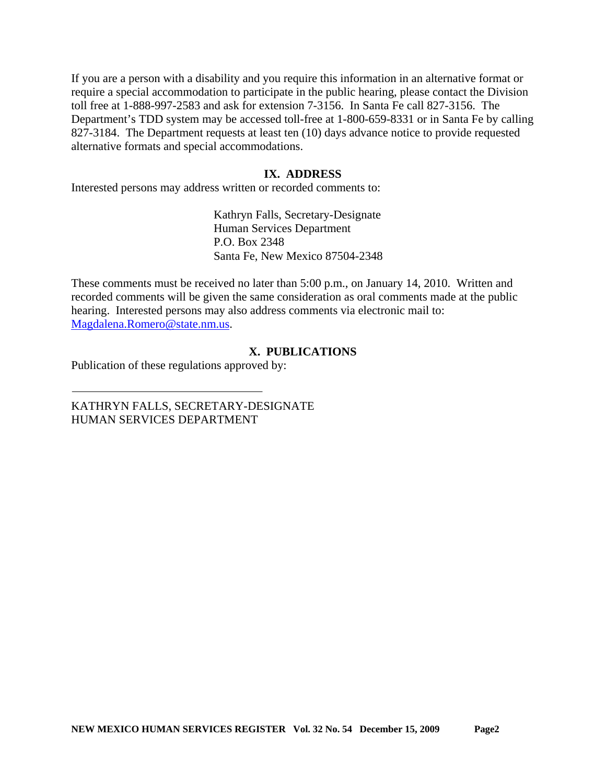If you are a person with a disability and you require this information in an alternative format or require a special accommodation to participate in the public hearing, please contact the Division toll free at 1-888-997-2583 and ask for extension 7-3156. In Santa Fe call 827-3156. The Department's TDD system may be accessed toll-free at 1-800-659-8331 or in Santa Fe by calling 827-3184. The Department requests at least ten (10) days advance notice to provide requested alternative formats and special accommodations.

#### **IX. ADDRESS**

Interested persons may address written or recorded comments to:

Kathryn Falls, Secretary-Designate Human Services Department P.O. Box 2348 Santa Fe, New Mexico 87504-2348

These comments must be received no later than 5:00 p.m., on January 14, 2010. Written and recorded comments will be given the same consideration as oral comments made at the public hearing. Interested persons may also address comments via electronic mail to: [Magdalena.Romero@state.nm.us.](mailto:Magdalena.Romero@state.nm.us)

#### **X. PUBLICATIONS**

Publication of these regulations approved by:

KATHRYN FALLS, SECRETARY-DESIGNATE HUMAN SERVICES DEPARTMENT